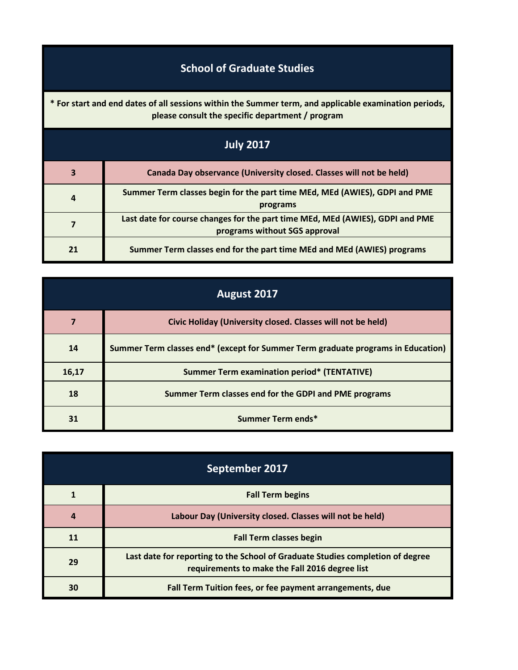## **School of Graduate Studies**

**\* For start and end dates of all sessions within the Summer term, and applicable examination periods, please consult the specific department / program**

| <b>July 2017</b> |                                                                                                                |
|------------------|----------------------------------------------------------------------------------------------------------------|
| 3                | Canada Day observance (University closed. Classes will not be held)                                            |
| $\overline{a}$   | Summer Term classes begin for the part time MEd, MEd (AWIES), GDPI and PME<br>programs                         |
|                  | Last date for course changes for the part time MEd, MEd (AWIES), GDPI and PME<br>programs without SGS approval |
| 21               | Summer Term classes end for the part time MEd and MEd (AWIES) programs                                         |

| August 2017 |                                                                                  |
|-------------|----------------------------------------------------------------------------------|
|             | Civic Holiday (University closed. Classes will not be held)                      |
| 14          | Summer Term classes end* (except for Summer Term graduate programs in Education) |
| 16,17       | <b>Summer Term examination period* (TENTATIVE)</b>                               |
| 18          | Summer Term classes end for the GDPI and PME programs                            |
| 31          | Summer Term ends*                                                                |

| September 2017 |                                                                                                                                  |
|----------------|----------------------------------------------------------------------------------------------------------------------------------|
|                | <b>Fall Term begins</b>                                                                                                          |
| 4              | Labour Day (University closed. Classes will not be held)                                                                         |
|                | <b>Fall Term classes begin</b>                                                                                                   |
| 29             | Last date for reporting to the School of Graduate Studies completion of degree<br>requirements to make the Fall 2016 degree list |
| 30             | Fall Term Tuition fees, or fee payment arrangements, due                                                                         |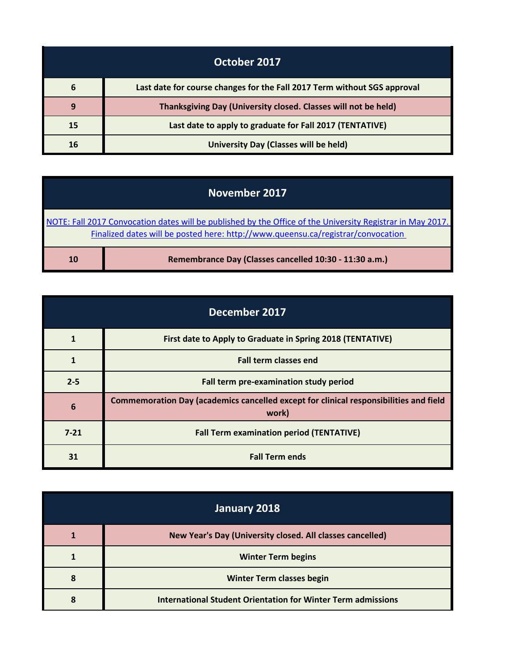| October 2017 |                                                                          |
|--------------|--------------------------------------------------------------------------|
| 6            | Last date for course changes for the Fall 2017 Term without SGS approval |
| 9            | Thanksgiving Day (University closed. Classes will not be held)           |
| 15           | Last date to apply to graduate for Fall 2017 (TENTATIVE)                 |
| 16           | University Day (Classes will be held)                                    |

## **November 2017**

[NOTE: Fall 2017 Convocation dates will be published by the Office of the University Registrar in May 2017.](http://www.queensu.ca/registrar/convocation)  [Fina](http://www.queensu.ca/registrar/convocation)lized dates will be posted here: http://www.queensu.ca/registrar/convocation

| <b>10</b> | Remembrance Day (Classes cancelled 10:30 - 11:30 a.m.) |
|-----------|--------------------------------------------------------|
|-----------|--------------------------------------------------------|

т

| December 2017 |                                                                                                |
|---------------|------------------------------------------------------------------------------------------------|
|               | First date to Apply to Graduate in Spring 2018 (TENTATIVE)                                     |
|               | <b>Fall term classes end</b>                                                                   |
| $2 - 5$       | Fall term pre-examination study period                                                         |
| 6             | Commemoration Day (academics cancelled except for clinical responsibilities and field<br>work) |
| $7 - 21$      | <b>Fall Term examination period (TENTATIVE)</b>                                                |
| 31            | <b>Fall Term ends</b>                                                                          |

| January 2018 |                                                              |
|--------------|--------------------------------------------------------------|
|              | New Year's Day (University closed. All classes cancelled)    |
|              | <b>Winter Term begins</b>                                    |
| 8            | <b>Winter Term classes begin</b>                             |
|              | International Student Orientation for Winter Term admissions |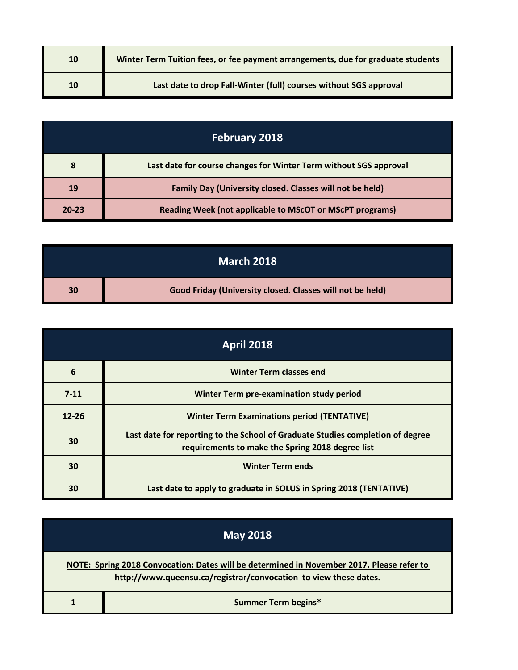| 10 | Winter Term Tuition fees, or fee payment arrangements, due for graduate students |
|----|----------------------------------------------------------------------------------|
| 10 | Last date to drop Fall-Winter (full) courses without SGS approval                |

| <b>February 2018</b> |                                                                   |
|----------------------|-------------------------------------------------------------------|
| 8                    | Last date for course changes for Winter Term without SGS approval |
| 19                   | Family Day (University closed. Classes will not be held)          |
| $20 - 23$            | <b>Reading Week (not applicable to MScOT or MScPT programs)</b>   |

|    | <b>March 2018</b>                                         |
|----|-----------------------------------------------------------|
| 30 | Good Friday (University closed. Classes will not be held) |

| <b>April 2018</b> |                                                                                                                                    |
|-------------------|------------------------------------------------------------------------------------------------------------------------------------|
| 6                 | <b>Winter Term classes end</b>                                                                                                     |
| $7 - 11$          | Winter Term pre-examination study period                                                                                           |
| $12 - 26$         | <b>Winter Term Examinations period (TENTATIVE)</b>                                                                                 |
| 30                | Last date for reporting to the School of Graduate Studies completion of degree<br>requirements to make the Spring 2018 degree list |
| 30                | <b>Winter Term ends</b>                                                                                                            |
| 30                | Last date to apply to graduate in SOLUS in Spring 2018 (TENTATIVE)                                                                 |

| <b>May 2018</b> |                                                                                                                                                               |
|-----------------|---------------------------------------------------------------------------------------------------------------------------------------------------------------|
|                 | NOTE: Spring 2018 Convocation: Dates will be determined in November 2017. Please refer to<br>http://www.queensu.ca/registrar/convocation to view these dates. |
|                 | <b>Summer Term begins*</b>                                                                                                                                    |